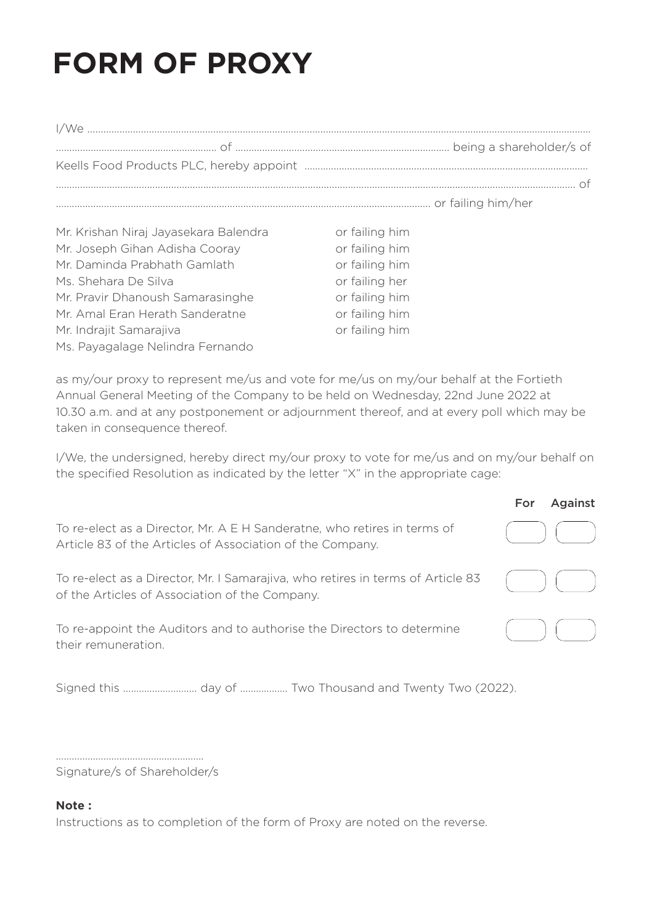## **FORM OF PROXY**

| Mr. Krishan Niraj Jayasekara Balendra | or failing him |
|---------------------------------------|----------------|
| Mr. Joseph Gihan Adisha Cooray        | or failing him |
| Mr. Daminda Prabhath Gamlath          | or failing him |
| Ms. Shehara De Silva                  | or failing her |
| Mr. Pravir Dhanoush Samarasinghe      | or failing him |
| Mr. Amal Eran Herath Sanderatne       | or failing him |
| Mr. Indrajit Samarajiva               | or failing him |
| Ms. Pavagalage Nelindra Fernando      |                |

as my/our proxy to represent me/us and vote for me/us on my/our behalf at the Fortieth Annual General Meeting of the Company to be held on Wednesday, 22nd June 2022 at 10.30 a.m. and at any postponement or adjournment thereof, and at every poll which may be taken in consequence thereof

I/We, the undersigned, hereby direct my/our proxy to vote for me/us and on my/our behalf on the specified Resolution as indicated by the letter "X" in the appropriate cage:

|                                                                                                                                       | For<br>Against |
|---------------------------------------------------------------------------------------------------------------------------------------|----------------|
| To re-elect as a Director, Mr. A E H Sanderatne, who retires in terms of<br>Article 83 of the Articles of Association of the Company. |                |
| To re-elect as a Director, Mr. I Samarajiva, who retires in terms of Article 83<br>of the Articles of Association of the Company.     |                |
| To re-appoint the Auditors and to authorise the Directors to determine<br>their remuneration.                                         |                |

Signature/s of Shareholder/s

## Note:

Instructions as to completion of the form of Proxy are noted on the reverse.